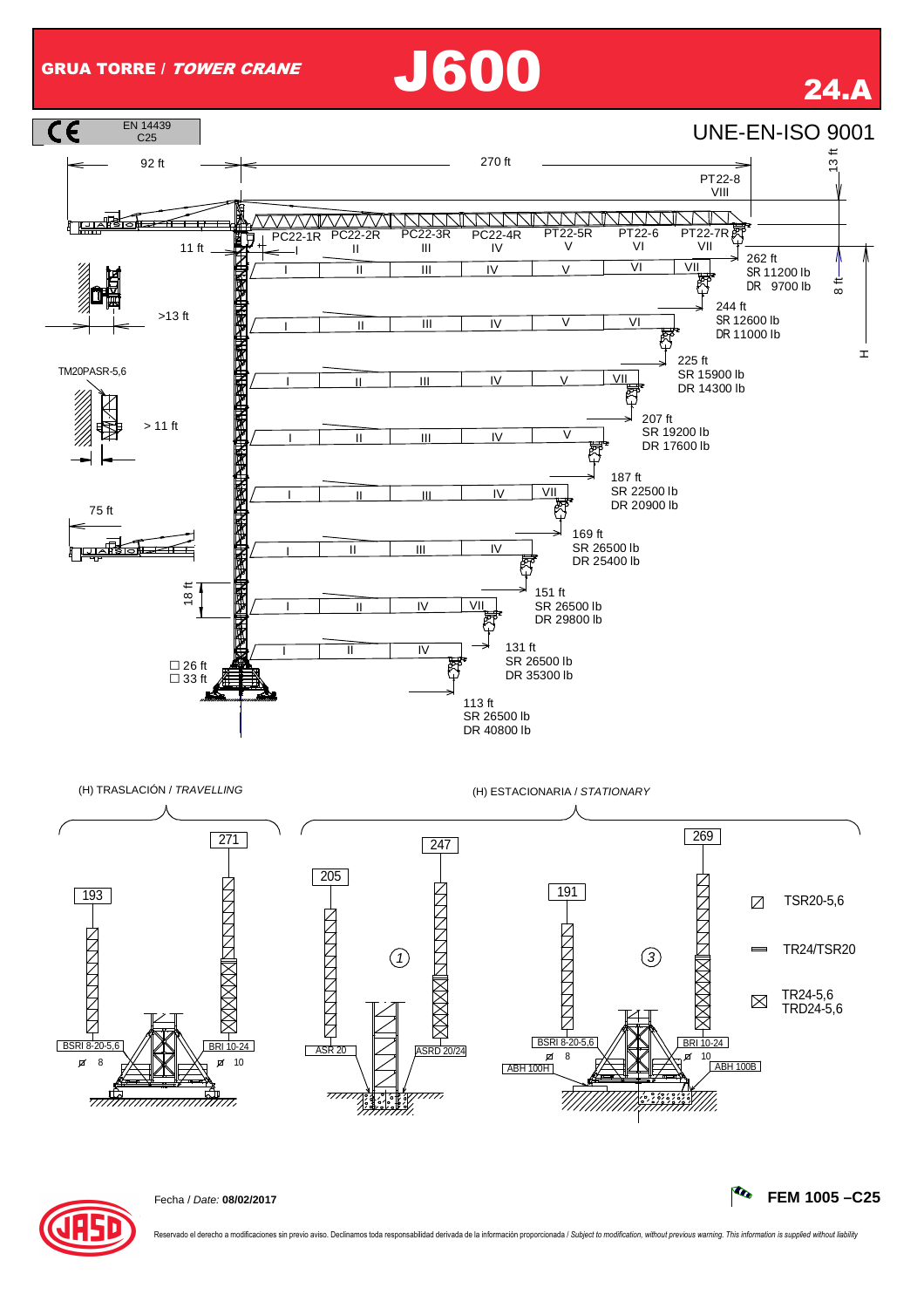## GRUA TORRE / TOWER CRANE J600 24.A





Reservado el derecho a modificaciones sin previo aviso. Declinamos toda responsabilidad derivada de la información proporcionada / Subject to modification, without previous warning. This information is supplied without lia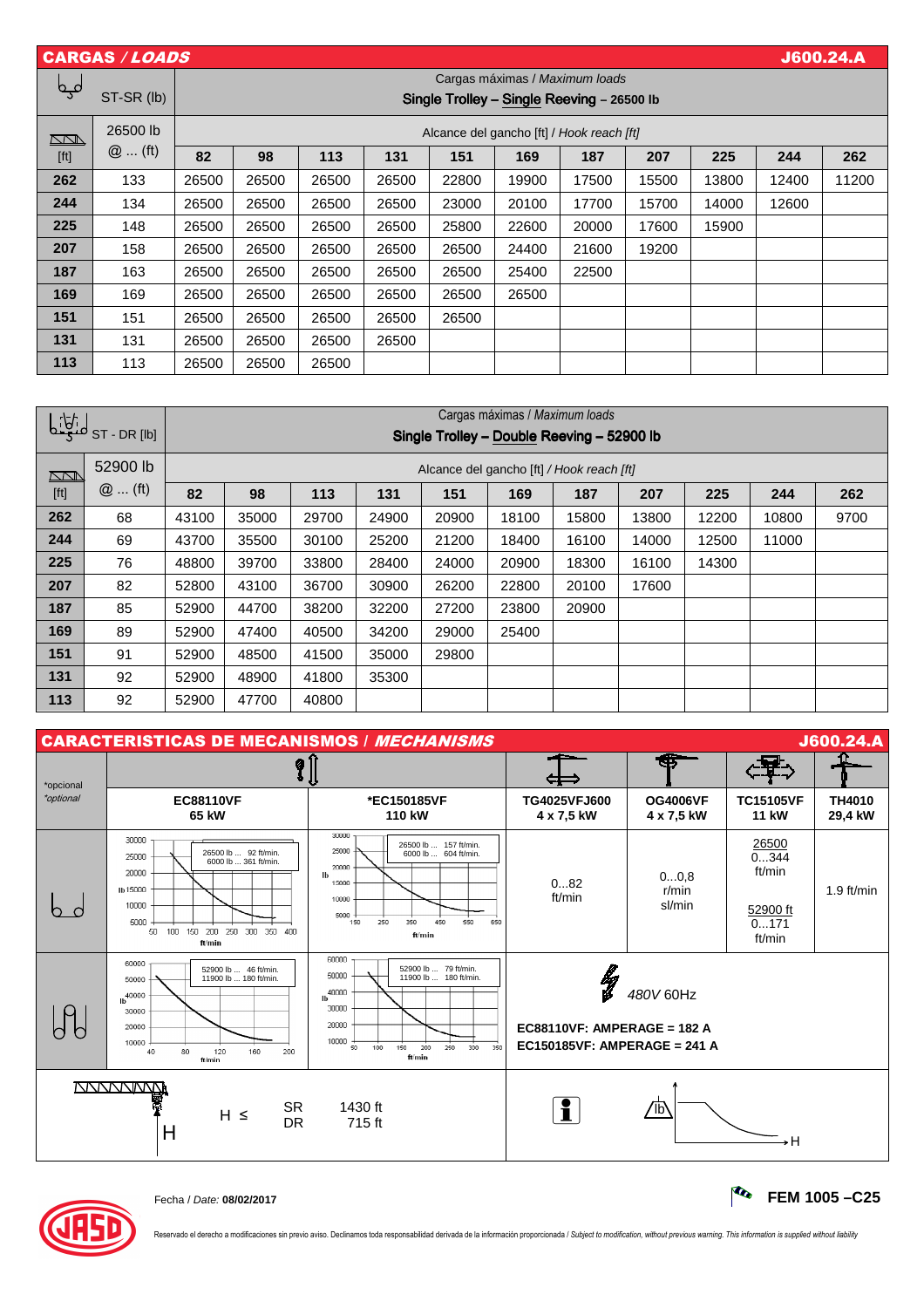|                                                                                                                                                                                                                       | <b>CARGAS / LOADS</b><br><b>J600.24.A</b> |                                |                                            |       |       |       |       |       |       |       |       |       |
|-----------------------------------------------------------------------------------------------------------------------------------------------------------------------------------------------------------------------|-------------------------------------------|--------------------------------|--------------------------------------------|-------|-------|-------|-------|-------|-------|-------|-------|-------|
|                                                                                                                                                                                                                       |                                           | Cargas máximas / Maximum loads |                                            |       |       |       |       |       |       |       |       |       |
| لمہم                                                                                                                                                                                                                  | ST-SR (lb)                                |                                | Single Trolley - Single Reeving - 26500 lb |       |       |       |       |       |       |       |       |       |
| <u>NN I</u>                                                                                                                                                                                                           | 26500 lb                                  |                                | Alcance del gancho [ft] / Hook reach [ft]  |       |       |       |       |       |       |       |       |       |
| $[ft] % \begin{center} % \includegraphics[width=\linewidth]{imagesSupplemental_3.png} % \end{center} % \caption { % Our method is used for the method. % The method is used in the text. % } % \label{fig:example} %$ | $@$ (ft)                                  | 82                             | 98                                         | 113   | 131   | 151   | 169   | 187   | 207   | 225   | 244   | 262   |
| 262                                                                                                                                                                                                                   | 133                                       | 26500                          | 26500                                      | 26500 | 26500 | 22800 | 19900 | 17500 | 15500 | 13800 | 12400 | 11200 |
| 244                                                                                                                                                                                                                   | 134                                       | 26500                          | 26500                                      | 26500 | 26500 | 23000 | 20100 | 17700 | 15700 | 14000 | 12600 |       |
| 225                                                                                                                                                                                                                   | 148                                       | 26500                          | 26500                                      | 26500 | 26500 | 25800 | 22600 | 20000 | 17600 | 15900 |       |       |
| 207                                                                                                                                                                                                                   | 158                                       | 26500                          | 26500                                      | 26500 | 26500 | 26500 | 24400 | 21600 | 19200 |       |       |       |
| 187                                                                                                                                                                                                                   | 163                                       | 26500                          | 26500                                      | 26500 | 26500 | 26500 | 25400 | 22500 |       |       |       |       |
| 169                                                                                                                                                                                                                   | 169                                       | 26500                          | 26500                                      | 26500 | 26500 | 26500 | 26500 |       |       |       |       |       |
| 151                                                                                                                                                                                                                   | 151                                       | 26500                          | 26500                                      | 26500 | 26500 | 26500 |       |       |       |       |       |       |
| 131                                                                                                                                                                                                                   | 131                                       | 26500                          | 26500                                      | 26500 | 26500 |       |       |       |       |       |       |       |
| 113                                                                                                                                                                                                                   | 113                                       | 26500                          | 26500                                      | 26500 |       |       |       |       |       |       |       |       |

| التطنع     | ST-DR [lb] | Cargas máximas / Maximum loads<br>Single Trolley - Double Reeving - 52900 lb |                                           |       |       |       |       |       |       |       |       |      |
|------------|------------|------------------------------------------------------------------------------|-------------------------------------------|-------|-------|-------|-------|-------|-------|-------|-------|------|
| <u>NN </u> | 52900 lb   |                                                                              | Alcance del gancho [ft] / Hook reach [ft] |       |       |       |       |       |       |       |       |      |
| [ft]       | $@$ (ft)   | 82                                                                           | 98                                        | 113   | 131   | 151   | 169   | 187   | 207   | 225   | 244   | 262  |
| 262        | 68         | 43100                                                                        | 35000                                     | 29700 | 24900 | 20900 | 18100 | 15800 | 13800 | 12200 | 10800 | 9700 |
| 244        | 69         | 43700                                                                        | 35500                                     | 30100 | 25200 | 21200 | 18400 | 16100 | 14000 | 12500 | 11000 |      |
| 225        | 76         | 48800                                                                        | 39700                                     | 33800 | 28400 | 24000 | 20900 | 18300 | 16100 | 14300 |       |      |
| 207        | 82         | 52800                                                                        | 43100                                     | 36700 | 30900 | 26200 | 22800 | 20100 | 17600 |       |       |      |
| 187        | 85         | 52900                                                                        | 44700                                     | 38200 | 32200 | 27200 | 23800 | 20900 |       |       |       |      |
| 169        | 89         | 52900                                                                        | 47400                                     | 40500 | 34200 | 29000 | 25400 |       |       |       |       |      |
| 151        | 91         | 52900                                                                        | 48500                                     | 41500 | 35000 | 29800 |       |       |       |       |       |      |
| 131        | 92         | 52900                                                                        | 48900                                     | 41800 | 35300 |       |       |       |       |       |       |      |
| 113        | 92         | 52900                                                                        | 47700                                     | 40800 |       |       |       |       |       |       |       |      |





Fecha / Date: **08/02/2017 FEM 1005 –C25**

Reservado el derecho a modificaciones sin previo aviso. Declinamos toda responsabilidad derivada de la información proporcionada / Subject to modification, without previous warning. This information is supplied without lia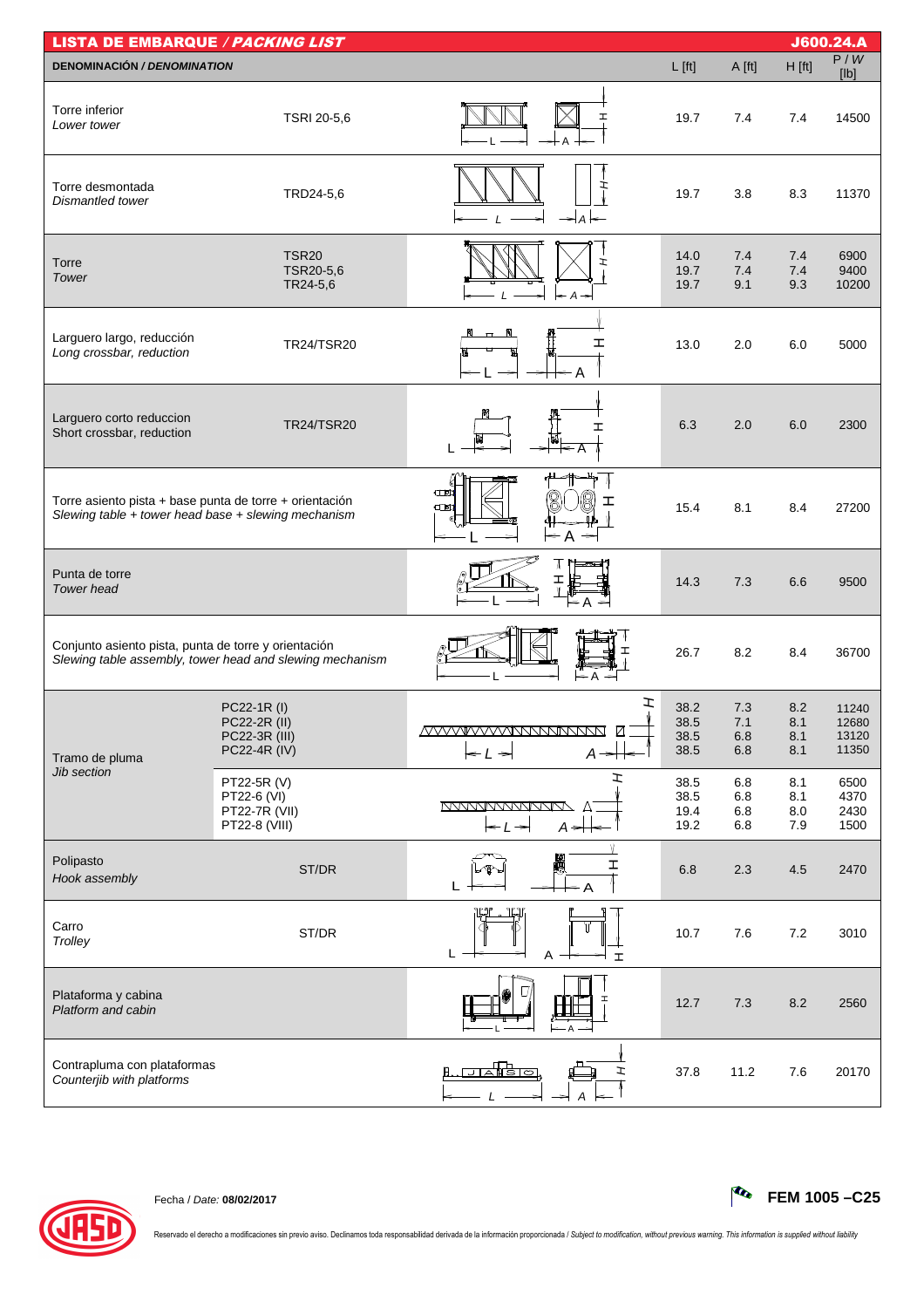| <b>LISTA DE EMBARQUE / PACKING LIST</b>                                                                        |                                                                     |                                                                                    |                              |                          |                          | J600.24.A                        |
|----------------------------------------------------------------------------------------------------------------|---------------------------------------------------------------------|------------------------------------------------------------------------------------|------------------------------|--------------------------|--------------------------|----------------------------------|
| <b>DENOMINACIÓN / DENOMINATION</b>                                                                             |                                                                     |                                                                                    | $L$ [ft]                     | A [ft]                   | $H$ [ft]                 | P/W<br>[Ib]                      |
| Torre inferior<br>Lower tower                                                                                  | TSRI 20-5,6                                                         | I                                                                                  | 19.7                         | 7.4                      | 7.4                      | 14500                            |
| Torre desmontada<br>Dismantled tower                                                                           | TRD24-5,6                                                           | ェ<br>$\Rightarrow$ A                                                               | 19.7                         | 3.8                      | 8.3                      | 11370                            |
| Torre<br>Tower                                                                                                 | <b>TSR20</b><br>TSR20-5,6<br>TR24-5,6                               | r<br>$\leftarrow$ A                                                                | 14.0<br>19.7<br>19.7         | 7.4<br>7.4<br>9.1        | 7.4<br>7.4<br>9.3        | 6900<br>9400<br>10200            |
| Larguero largo, reducción<br>Long crossbar, reduction                                                          | TR24/TSR20                                                          | ェ                                                                                  | 13.0                         | 2.0                      | 6.0                      | 5000                             |
| Larguero corto reduccion<br>Short crossbar, reduction                                                          | <b>TR24/TSR20</b>                                                   | ェ                                                                                  | 6.3                          | 2.0                      | 6.0                      | 2300                             |
| Torre asiento pista + base punta de torre + orientación<br>Slewing table + tower head base + slewing mechanism |                                                                     | $\square$<br>ェ<br>$\square$<br>$\leq$ A $\Rightarrow$                              | 15.4                         | 8.1                      | 8.4                      | 27200                            |
| Punta de torre<br><b>Tower</b> head                                                                            |                                                                     | Ι<br>∈А                                                                            | 14.3                         | 7.3                      | 6.6                      | 9500                             |
| Conjunto asiento pista, punta de torre y orientación                                                           | Slewing table assembly, tower head and slewing mechanism            |                                                                                    | 26.7                         | 8.2                      | 8.4                      | 36700                            |
| Tramo de pluma                                                                                                 | PC22-1R (I)<br>PC22-2R (II)<br>PC22-3R (III)<br><b>PC22-4R (IV)</b> | I<br><u>IVVVVVVVVVNNNNNNNN</u><br>$-L \rightarrow$<br>$A \rightarrow$              | 38.2<br>38.5<br>38.5<br>38.5 | 7.3<br>7.1<br>6.8<br>6.8 | 8.2<br>8.1<br>8.1<br>8.1 | 11240<br>12680<br>13120<br>11350 |
| Jib section                                                                                                    | PT22-5R (V)<br>PT22-6 (VI)<br>PT22-7R (VII)<br>PT22-8 (VIII)        | ェ<br><b>NYWWWWWWW</b><br>$\leftarrow$ $\leftarrow$ $\leftarrow$<br>$A \rightarrow$ | 38.5<br>38.5<br>19.4<br>19.2 | 6.8<br>6.8<br>6.8<br>6.8 | 8.1<br>8.1<br>8.0<br>7.9 | 6500<br>4370<br>2430<br>1500     |
| Polipasto<br>Hook assembly                                                                                     | ST/DR                                                               | I                                                                                  | 6.8                          | 2.3                      | 4.5                      | 2470                             |
| Carro<br>Trolley                                                                                               | ST/DR                                                               | ĻJ<br>L<br>Α<br>$\mathbf{I}$                                                       | 10.7                         | 7.6                      | 7.2                      | 3010                             |
| Plataforma y cabina<br>Platform and cabin                                                                      |                                                                     |                                                                                    | 12.7                         | 7.3                      | 8.2                      | 2560                             |
| Contrapluma con plataformas<br>Counterjib with platforms                                                       |                                                                     | <u>ਗਣੀਇਾਕ</u><br>ェ                                                                 | 37.8                         | 11.2                     | 7.6                      | 20170                            |



Reservado el derecho a modificaciones sin previo aviso. Declinamos toda responsabilidad derivada de la información proporcionada / Subject to modification, without previous warning. This information is supplied without lia